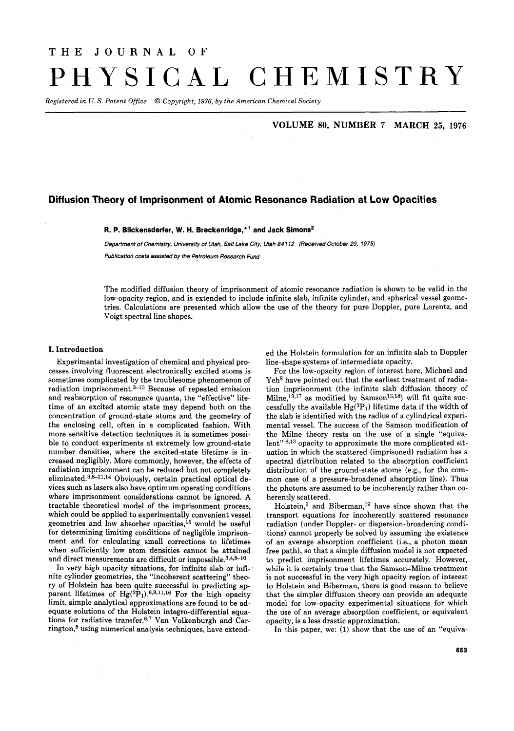# THE **JOURNAL** OF PHYSICAL CHEMISTRY

*Registered in U.* S. *Patent Office 0 Copyright, 1976, by the American Chemical Society* 

## **VOLUME 80, NUMBER 7 MARCH 25, 1976**

# **Diffusion Theory of Imprisonment of Atomic Resonance Radiation at Low Opacities**

#### **R. P. Blickensderfer, W. H. Breckenridge,+' and Jack Simons2**

*Department of Chemistry, University of Utah, Salt Lake City, Utah 84 112 (Received October* **20,** *1975)* 

*Publication costs assisted by the Petroleum Research Fund* 

The modified diffusion theory of imprisonment of atomic resonance radiation is shown to be valid in the low-opacity region, and is extended to include infinite slab, infinite cylinder, and spherical vessel geometries. Calculations are presented which allow the use of the theory for pure Doppler, pure Lorentz, and Voigt spectral line shapes.

#### **I. Introduction**

Experimental investigation of chemical and physical processes involving fluorescent electronically excited atoms is sometimes complicated by the troublesome phenomenon of radiation imprisonment. $3-13$  Because of repeated emission and reabsorption of resonance quanta, the "effective" lifetime of an excited atomic state may depend both on the concentration of ground-state atoms and the geometry of the enclosing cell, often in a complicated fashion. With more sensitive detection techniques it is sometimes possible to conduct experiments at extremely low ground-state number densities, where the excited-state lifetime is increased negligibly. More commonly, however, the effects of radiation imprisonment can be reduced but not completely eliminated. $3,8-11,14$  Obviously, certain practical optical devices such as lasers also have optimum operating conditions where imprisonment considerations cannot be ignored. **A**  tractable theoretical model of the imprisonment process, which could be applied to experimentally convenient vessel geometries and low absorber opacities,15 would be useful for determining limiting conditions of negligible imprisonment and for calculating small corrections to lifetimes when sufficiently low atom densities cannot be attained and direct measurements are difficult or impossible. $3,4,8-10$ 

In very high opacity situations, for infinite slab or infinite cylinder geometries, the "incoherent scattering" theory of Holstein has been quite successful in predicting apparent lifetimes of  $Hg({}^3P_1)$ .<sup>6,8,11,16</sup> For the high opacity limit, simple analytical approximations are found to be adequate solutions of the Holstein integro-differential equations for radiative transfer. $6.7$  Van Volkenburgh and Carrington,<sup>5</sup> using numerical analysis techniques, have extended the Holstein formulation for an infinite slab to Doppler line-shape systems of intermediate opacity.

For the low-opacity region of interest here, Michael and Yeh<sup>8</sup> have pointed out that the earliest treatment of radiation imprisonment (the infinite slab diffusion theory of Milne,<sup>13,17</sup> as modified by Samson<sup>13,18</sup>) will fit quite successfully the available  $Hg(^{3}P_{1})$  lifetime data if the width of the slab is identified with the radius of a cylindrical experimental vessel. The success of the Samson modification of the Milne theory rests on the use of a single "equivalent" 8,13 opacity to approximate the more complicated situation in which the scattered (imprisoned) radiation has a spectral distribution related to the absorption coefficient distribution of the ground-state atoms (e.g., for the common case of a pressure-broadened absorption line). Thus the photons are assumed to be incoherently rather than coherently scattered.

Holstein, $^6$  and Biberman,<sup>19</sup> have since shown that the transport equations for incoherently scattered resonance radiation (under Doppler- or dispersion-broadening conditions) cannot properly be solved by assuming the existence of an average absorption coefficient (Le., a photon mean free path), so that a simple diffusion model is not expected to predict imprisonment lifetimes accurately. However, while it is certainly true that the Samson-Milne treatment is not successful in the very high opacity region of interest to Holstein and Biberman, there is good reason to believe that the simpler diffusion theory can provide an adequate model for low-opacity experimental situations for which the use of an average absorption coefficient, or equivalent opacity, is a less drastic approximation.

In this paper, we: **(1)** show that the use of an ''equiva-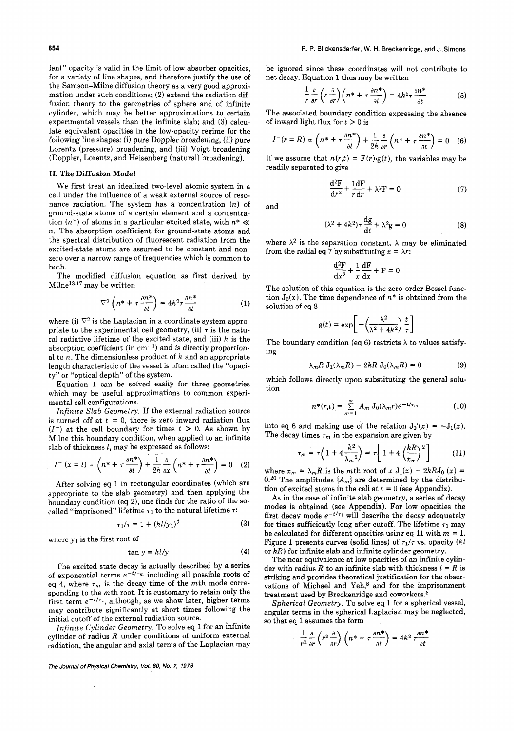lent" opacity is valid in the limit of low absorber opacities, for a variety of line shapes, and therefore justify the use of the Samson-Milne diffusion theory as a very good approximation under such conditions; *(2)* extend the radiation diffusion theory to the geometries of sphere and of infinite cylinder, which may be better approximations to certain experimental vessels than the infinite slab; and **(3)** calculate equivalent opacities in the low-opacity regime for the following line shapes: (i) pure Doppler broadening, (ii) pure Lorentz (pressure) broadening, and (iii) Voigt broadening (Doppler, Lorentz, and Heisenberg (natural) broadening).

#### **11.** *The* **Diffusion Model**

We first treat an idealized two-level atomic system in a cell under the influence of a weak external source of resonance radiation. The system has a concentration  $(n)$  of ground-state atoms of a certain element and a concentration  $(n^*)$  of atoms in a particular excited state, with  $n^* \ll$ n. The absorption coefficient for ground-state atoms and the spectral distribution of fluorescent radiation from the excited-state atoms are assumed to be constant and nonzero over a narrow range of frequencies which is common to both.

The modified diffusion equation as first derived by  $Milne<sup>13,17</sup>$  may be written

$$
\nabla^2 \left( n^* + \tau \frac{\partial n^*}{\partial t} \right) = 4k^2 \tau \frac{\partial n^*}{\partial t} \tag{1}
$$

where (i)  $\nabla^2$  is the Laplacian in a coordinate system appropriate to the experimental cell geometry, (ii)  $\tau$  is the natural radiative lifetime of the excited state, and (iii) *k* is the absorption coefficient (in  $cm^{-1}$ ) and is directly proportional to n. The dimensionless product of *h* and an appropriate length characteristic of the vessel is often called the "opacity" or "optical depth" of the system.

Equation 1 can be solved easily for three geometries which may be useful approximations to common experimental cell configurations.

Infinite *Slab* Geometry. If the external radiation source is turned off at  $t = 0$ , there is zero inward radiation flux  $(I^-)$  at the cell boundary for times  $t > 0$ . As shown by Milne this boundary condition, when applied to an infinite slab of thickness  $l$ , may be expressed as follows:

$$
I^{-} (x = l) \propto \left( n^{*} + \tau \frac{\partial n^{*}}{\partial t} \right) + \frac{1}{2k} \frac{\partial}{\partial x} \left( n^{*} + \tau \frac{\partial n^{*}}{\partial t} \right) = 0 \quad (2)
$$

After solving eq 1 in rectangular coordinates (which are appropriate to the slab geometry) and then applying the boundary condition (eq *21,* one finds for the ratio of the socalled "imprisoned" lifetime  $\tau_1$  to the natural lifetime  $\tau$ :

$$
\tau_1/\tau = 1 + (kl/y_1)^2 \tag{3}
$$

where  $y_1$  is the first root of

$$
\tan y = kl/y \tag{4}
$$

The excited state decay is actually described by a series of exponential terms  $e^{-t/\tau_m}$  including all possible roots of eq 4, where  $\tau_m$  is the decay time of the mth mode corresponding to the mth root. It is customary to retain only the first term  $e^{-t/\tau_1}$ , although, as we show later, higher terms may contribute significantly at short times following the initial cutoff of the external radiation source.

Infinite Cylinder Geometry. To solve eq 1 for an infinite cylinder of radius  $R$  under conditions of uniform external radiation, the angular and axial terms of the Laplacian may

be ignored since these coordinates will not contribute to net decay. Equation 1 thus may be written

$$
\frac{1}{r}\frac{\partial}{\partial r}\left(r\frac{\partial}{\partial r}\right)\left(n^* + \tau\frac{\partial n^*}{\partial t}\right) = 4k^2\tau\frac{\partial n^*}{\partial t} \tag{5}
$$

The associated boundary condition expressing the absence of inward light flux for  $t > 0$  is

$$
I^-(r=R) \propto \left(n^* + \tau \frac{\partial n^*}{\partial t}\right) + \frac{1}{2k} \frac{\partial}{\partial r} \left(n^* + \tau \frac{\partial n^*}{\partial t}\right) = 0 \quad (6)
$$

If we assume that  $n(r,t) = F(r) \cdot g(t)$ , the variables may be readily separated to give

$$
\frac{d^2F}{dr^2} + \frac{1dF}{rdr} + \lambda^2 F = 0 \tag{7}
$$

and

$$
(\lambda^2 + 4k^2)\tau \frac{\mathrm{d}g}{\mathrm{d}t} + \lambda^2 g = 0
$$
 (8)

where  $\lambda^2$  is the separation constant.  $\lambda$  may be eliminated from the radial eq 7 by substituting  $x = \lambda r$ :

$$
\frac{\mathrm{d}^2 \mathrm{F}}{\mathrm{d} x^2} + \frac{1}{x} \frac{\mathrm{d} \mathrm{F}}{\mathrm{d} x} + \mathrm{F} = 0
$$

The solution of this equation is the zero-order Bessel function  $J_0(x)$ . The time dependence of  $n^*$  is obtained from the solution of eq 8

$$
g(t) = \exp\left[-\left(\frac{\lambda^2}{\lambda^2 + 4k^2}\right)\frac{t}{\tau}\right]
$$

The boundary condition (eq 6) restricts  $\lambda$  to values satisfying

$$
\lambda_m R J_1(\lambda_m R) - 2kR J_0(\lambda_m R) = 0 \tag{9}
$$

which follows directly upon substituting the general solution

$$
n^{*}(r,t) = \sum_{m=1}^{\infty} A_m J_0(\lambda_m r) e^{-t/\tau_m}
$$
 (10)

into eq 6 and making use of the relation  $J_0'(x) = -J_1(x)$ . The decay times  $\tau_m$  in the expansion are given by

$$
\tau_m = \tau \left( 1 + 4 \frac{k^2}{\lambda_m^2} \right) = \tau \left[ 1 + 4 \left( \frac{kR}{x_m} \right)^2 \right] \tag{11}
$$

where  $x_m = \lambda_m R$  is the mth root of x  $J_1(x) - 2kRJ_0(x) =$ 0.<sup>20</sup> The amplitudes  ${A_m}$  are determined by the distribution of excited atoms in the cell at  $t = 0$  (see Appendix).

As in the case of infinite slab geometry, a series of decay modes is obtained (see Appendix). For low opacities the first decay mode  $e^{-t/\tau_1}$  will describe the decay adequately for times sufficiently long after cutoff. The lifetime  $\tau_1$  may be calculated for different opacities using eq 11 with  $m = 1$ . Figure 1 presents curves (solid lines) of  $\tau_1/\tau$  vs. opacity (kl or  $kR$ ) for infinite slab and infinite cylinder geometry.

The near equivalence at low opacities of an infinite cylinder with radius R to an infinite slab with thickness  $l = R$  is striking and provides theoretical justification for the observations of Michael and Yeh,<sup>8</sup> and for the imprisonment treatment used by Breckenridge and coworkers.<sup>3</sup>

Spherical Geometry. To solve eq 1 for a spherical vessel, angular terms in the spherical Laplacian may be neglected, so that eq 1 assumes the form

$$
\frac{1}{r^2}\frac{\partial}{\partial r}\left(r^2\frac{\partial}{\partial r}\right)\left(n^* + \tau\frac{\partial n^*}{\partial t}\right) = 4k^2\,\tau\frac{\partial n^*}{\partial t}
$$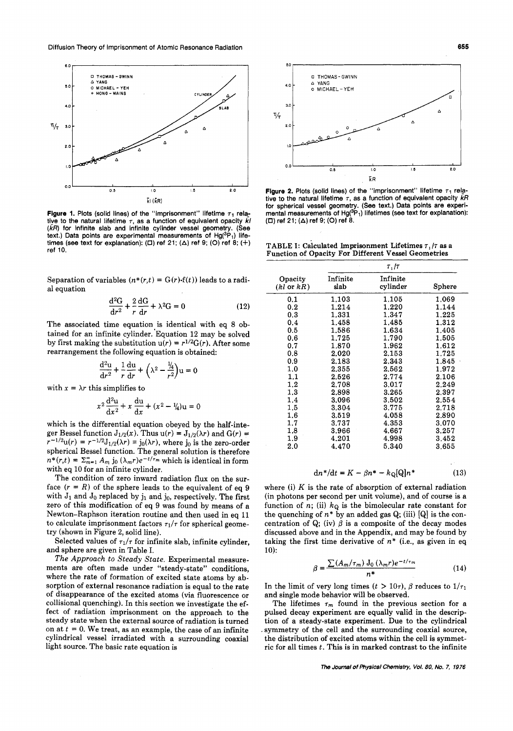

**Figure 1.** Plots (solid lines) of the "imprisonment" lifetime  $\tau_1$  relative to the natural lifetime  $\tau$ , as a function of equivalent opacity  $\vec{k}$ *(kR)* for infinite slab and infinite cylinder vessel geometry. (See text.) Data points are experimental measurements of  $Hg(^3P_1)$  lifetimes (see text for explanation): *(0)* ref **21; (A)** ref **9;** (0) ref **8;** (+) ref **10.** 

Separation of variables  $(n^*(r,t) = G(r) \cdot f(t))$  leads to a radial equation

$$
\frac{\mathrm{d}^2\mathrm{G}}{\mathrm{d}r^2} + \frac{2}{r}\frac{\mathrm{d}\mathrm{G}}{\mathrm{d}r} + \lambda^2\mathrm{G} = 0\tag{12}
$$

The associated time equation is identical with eq 8 obtained for an infinite cylinder. Equation 12 may be solved by first making the substitution  $u(r) = r^{1/2}G(r)$ . After some rearrangement the following equation is obtained: **0.8 2.020 2.153 1.725** 

$$
\frac{d^2u}{dr^2} + \frac{1}{r}\frac{du}{dr} + \left(\lambda^2 - \frac{1}{2r^2}\right)u = 0
$$

with  $x = \lambda r$  this simplifies to

$$
x^{2} \frac{d^{2}u}{dx^{2}} + x \frac{du}{dx} + (x^{2} - \frac{1}{4})u = 0
$$

which is the differential equation obeyed by the half-integer Bessel function  $J_{1/2}(x)$ . Thus  $u(r) = J_{1/2}(\lambda r)$  and  $G(r) =$  $r^{-1/2}u(r) = r^{-1/2}J_{1/2}(\lambda r) \equiv j_0(\lambda r)$ , where j<sub>0</sub> is the zero-order spherical Bessel function. The general solution is therefore  $n^*(r,t) = \sum_{m=1}^{\infty} A_m$  j<sub>0</sub>  $(\lambda_m r) e^{-t/\tau_m}$  which is identical in form with eq **10** for an infinite cylinder.

The condition of zero inward radiation flux on the surface  $(r = R)$  of the sphere leads to the equivalent of eq 9 with  $J_1$  and  $J_0$  replaced by  $j_1$  and  $j_0$ , respectively. The first zero of this modification of eq 9 was found by means of a Newton-Raphson iteration routine and then used in eq **11**  to calculate imprisonment factors  $\tau_1/\tau$  for spherical geometry (shown in Figure **2,** solid line).

Selected values of  $\tau_1/\tau$  for infinite slab, infinite cylinder, and sphere are given in Table I.

*The* Approach *to* Steady State. Experimental measurements are often made under "steady-state" conditions, where the rate of formation of excited state atoms by absorption of external resonance radiation is equal to the rate of disappearance of the excited atoms (via fluorescence or collisional quenching). In this section we investigate the effect of radiation imprisonment on the approach to the steady state when the external source of radiation is turned on at  $t = 0$ . We treat, as an example, the case of an infinite cylindrical vessel irradiated with a surrounding coaxial light source. The basic rate equation is



**Figure 2.** Plots (solid lines) of the "imprisonment" lifetime  $\tau_1$  relative to the natural lifetime *r,* as a function of equivalent opacity *kR*  for spherical vessel geometry. (See text.) Data points are experi-<br>mental measurements of  $Hg(^{3}P_{1})$  lifetimes (see text for explanation): *(0)* ref **21; (A)** ref **9;** (0) ref **8.** 

**TABLE I:** Calculated Imprisonment Lifetimes *r, /r* as a Function of Opacity For Different Vessel Geometries

 $\overline{r}$  *I<sub>T</sub>* 

|                                                                                               |                                  |                  | $\cdots$             |               |  |
|-----------------------------------------------------------------------------------------------|----------------------------------|------------------|----------------------|---------------|--|
| ariables $(n^*(r,t) = G(r) \cdot f(t))$ leads to a radi-                                      | Opacity<br>$(kl \text{ or } kR)$ | Infinite<br>slab | Infinite<br>cylinder | <b>Sphere</b> |  |
|                                                                                               | 0.1                              | 1.103            | 1.105                | 1,069         |  |
| $\frac{d^2G}{dr^2} + \frac{2}{r}\frac{dG}{dr} + \lambda^2 G = 0$<br>(12)                      | 0.2                              | 1.214            | 1.220                | 1.144         |  |
|                                                                                               | 0.3                              | 1.331            | 1.347                | 1.225         |  |
| time equation is identical with eq 8 ob-                                                      | 0.4                              | 1.458            | 1.485                | 1.312         |  |
| ifinite cylinder. Equation 12 may be solved                                                   | 0.5                              | 1.586            | 1.634                | 1.405         |  |
|                                                                                               | 0.6                              | 1.725            | 1.790                | 1.505         |  |
| the substitution $u(r) = r^{1/2}G(r)$ . After some                                            | 0.7                              | 1.870            | 1.962                | 1,612         |  |
| the following equation is obtained:                                                           | 0.8                              | 2.020            | 2.153                | 1.725         |  |
|                                                                                               | 0.9                              | 2.183            | 2.343                | 1.845         |  |
| $\frac{d^2u}{dr^2} + \frac{1}{r}\frac{du}{dr} + \left(\lambda^2 - \frac{1}{2r^2}\right)u = 0$ | 1,0                              | 2.355            | 2.562                | 1.972         |  |
|                                                                                               | 1.1                              | 2.526            | 2.774                | 2.106         |  |
|                                                                                               | $1.2\,$                          | 2.708            | 3.017                | 2.249         |  |
| s simplifies to                                                                               | 1.3                              | 2.898            | 3.265                | 2.397         |  |
|                                                                                               | 1.4                              | 3.096            | 3.502                | 2.554         |  |
| $x^2 \frac{d^2 u}{dx^2} + x \frac{du}{dx} + (x^2 - \frac{1}{4})u = 0$                         | 1.5                              | 3.304            | 3.775                | 2.718         |  |
|                                                                                               | 1.6                              | 3.519            | 4.058                | 2.890         |  |
| fferential equation obeyed by the half-inte-                                                  | 1.7                              | 3.737            | 4.353                | 3.070         |  |
| tion $J_{1/2}(x)$ . Thus $u(r) = J_{1/2}(\lambda r)$ and $G(r) =$                             | 1.8                              | 3.966            | 4.667                | 3.257         |  |
|                                                                                               | 1.9                              | 4.201            | 4.998                | 3,452         |  |
| $^{2}J_{1/2}(\lambda r) \equiv j_0(\lambda r)$ , where j <sub>0</sub> is the zero-order       | $2.0\,$                          | 4.470            | 5.340                | 3.655         |  |
| $\mathbf{1}$ function. The general colution is thoughout                                      |                                  |                  |                      |               |  |

$$
dn^* / dt = K - \beta n^* - k_{\mathbf{Q}}[Q]n^* \qquad (13)
$$

where (i) *K* is the rate of absorption of external radiation (in photons per second per unit volume), and of course is a function of n; (ii)  $k_{\mathbf{Q}}$  is the bimolecular rate constant for the quenching of  $n^*$  by an added gas Q; (iii) [Q] is the concentration of Q; (iv)  $\beta$  is a composite of the decay modes discussed above and in the Appendix, and may be found by taking the first time derivative of  $n^*$  (i.e., as given in eq 10):

$$
\beta = \frac{\sum (A_m/\tau_m) J_0 \left(\lambda_m r \right) e^{-t/\tau_m}}{n^*} \tag{14}
$$

In the limit of very long times  $(t > 10\tau)$ ,  $\beta$  reduces to  $1/\tau_1$ and single mode behavior will be observed.

. symmetry of the cell and the surrounding coaxial source, The lifetimes  $\tau_m$  found in the previous section for a pulsed decay experiment are equally valid in the description of a steady-state experiment. Due to the cylindrical the distribution of excited atoms within the cell **is** symmetric for all times *t.* This is in marked contrast to the infinite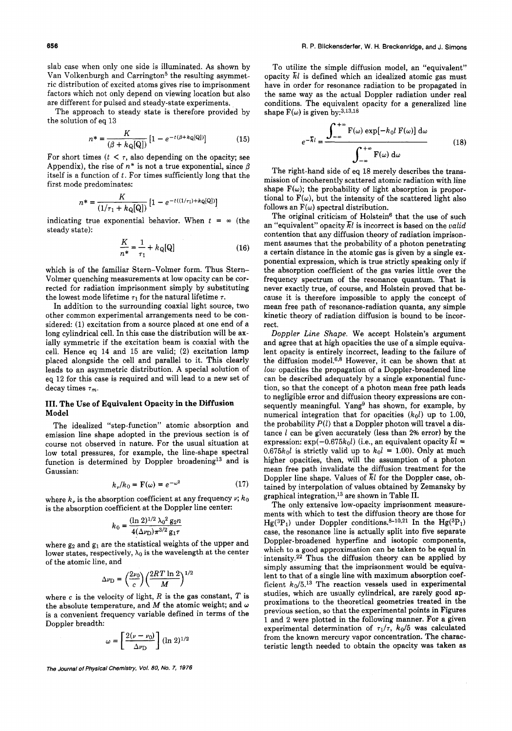slab case when only one side is illuminated. As shown by Van Volkenburgh and Carrington<sup>5</sup> the resulting asymmetric distribution of excited atoms gives rise to imprisonment factors which not only depend on viewing location but also are different for pulsed and steady-state experiments.

The approach to steady state is therefore provided by the solution of eq 13

$$
n^* = \frac{K}{(\beta + k_{\mathbf{Q}}[\mathbf{Q}])} \left[ 1 - e^{-t(\beta + k_{\mathbf{Q}}[\mathbf{Q}])} \right] \tag{15}
$$

For short times  $(t < \tau$ , also depending on the opacity; see Appendix), the rise of  $n^*$  is not a true exponential, since  $\beta$ itself is a function of *t.* For times sufficiently long that the first mode predominates:

$$
n^* = \frac{K}{(1/\tau_1 + k_{\mathbf{Q}}[{\mathbf{Q}}])} \left[ 1 - e^{-t((1/\tau_1) + k_{\mathbf{Q}}[{\mathbf{Q}}])} \right]
$$

indicating true exponential behavior. When  $t = \infty$  (the steady state):

$$
\frac{K}{n^*} = \frac{1}{\tau_1} + k_{\mathbf{Q}}[\mathbf{Q}] \tag{16}
$$

which is of the familiar Stern-Volmer form. Thus Stern-Volmer quenching measurements at low opacity can be corrected for radiation imprisonment simply by substituting the lowest mode lifetime  $\tau_1$  for the natural lifetime  $\tau$ .

In addition to the surrounding coaxial light source, two other common experimental arrangements need to be considered: (1) excitation from a source placed at one end of a long cylindrical cell. In this case the distribution will be axially symmetric if the excitation beam is coaxial with the cell. Hence eq 14 and 15 are valid; (2) excitation lamp placed alongside the cell and parallel to it. This clearly leads to an asymmetric distribution. A special solution of eq 12 for this case is required and will lead to a new set of decay times  $\tau_m$ .

## **111. The Use of Equivalent Opacity in the Diffusion Model**

The idealized "step-function" atomic absorption and emission line shape adopted in the previous section is of course not observed in nature. For the usual situation at low total pressures, for example, the line-shape spectral function is determined by Doppler broadening13 and is Gaussian:

$$
k_{\nu}/k_0 = \mathbf{F}(\omega) = e^{-\omega^2} \tag{17}
$$

where  $k_{\nu}$  is the absorption coefficient at any frequency  $\nu$ ;  $k_0$ is the absorption coefficient at the Doppler line center:

$$
k_0 = \frac{(\ln 2)^{1/2} \lambda_0^2 g_2 n}{4(\Delta \nu_{\rm D}) \pi^{3/2} g_1 \tau}
$$

where  $g_2$  and  $g_1$  are the statistical weights of the upper and lower states, respectively,  $\lambda_0$  is the wavelength at the center of the atomic line, and

$$
\Delta \nu_{\rm D} = \left(\frac{2\nu_0}{c}\right) \left(\frac{2RT \ln 2}{M}\right)^{1/2}
$$

where  $c$  is the velocity of light,  $R$  is the gas constant,  $T$  is the absolute temperature, and *M* the atomic weight; and *w*  is a convenient frequency variable defined in terms of the Doppler breadth:

$$
\omega = \left[\frac{2(\nu - \nu_0)}{\Delta \nu_{\rm D}}\right] (\ln 2)^{1/2}
$$

*The Journal of Physical Chemistry, Vol.* **SO,** *No. 7, 1976* 

To utilize the simple diffusion model, an "equivalent" opacity *El* is defined which an idealized atomic gas must have in order for resonance radiation to be propagated in the same way as the actual Doppler radiation under real conditions. The equivalent opacity for a generalized line shape  $F(\omega)$  is given by:<sup>3,13,18</sup>

$$
e^{-\overline{k}l} = \frac{\int_{-\infty}^{+\infty} \mathbf{F}(\omega) \exp[-k_0 l \mathbf{F}(\omega)] d\omega}{\int_{-\infty}^{+\infty} \mathbf{F}(\omega) d\omega}
$$
(18)

The right-hand side of eq 18 merely describes the transmission of incoherently scattered atomic radiation with line shape  $F(\omega)$ ; the probability of light absorption is proportional to  $F(\omega)$ , but the intensity of the scattered light also follows an  $F(\omega)$  spectral distribution.

The original criticism of Holstein $6$  that the use of such an "equivalent" opacity *E1* is incorrect is based on the valid contention that any diffusion theory of radiation imprisonment assumes that the probability of a photon penetrating a certain distance in the atomic gas is given by a single exponential expression, which is true strictly speaking only if the absorption coefficient of the gas varies little over the frequency spectrum of the resonance quantum. That is never exactly true, of course, and Holstein proved that because it is therefore impossible to apply the concept of mean free path of resonance-radiation quanta, any simple kinetic theory of radiation diffusion is bound to be incorrect.

Doppler Line Shape. We accept Holstein's argument and agree that at high opacities the use of a simple equivalent opacity is entirely incorrect, leading to the failure of the diffusion model. $6,8$  However, it can be shown that at *low* opacities the propagation of a Doppler-broadened line can be described adequately by a single exponential function, so that the concept of a photon mean free path leads to negligible error and diffusion theory expressions are consequently meaningful. Yang<sup>9</sup> has shown, for example, by numerical integration that for opacities *(hol)* up to 1.00, the probability  $P(l)$  that a Doppler photon will travel a distance  $l$  can be given accurately (less than 2% error) by the expression:  $\exp(-0.675k_0l)$  (i.e., an equivalent opacity  $\bar{kl}$  =  $0.675k_0$ l is strictly valid up to  $k_0$ l = 1.00). Only at much higher opacities, then, will the assumption of a photon mean free path invalidate the diffusion treatment for the Doppler line shape. Values of *El* for the Doppler case, obtained by interpolation of values obtained by Zemansky by graphical integration,13 are shown in Table **11.** 

The only extensive low-opacity imprisonment measurements with which to test the diffusion theory are those for Hg(3P<sub>1</sub>) under Doppler conditions.<sup>8-10,21</sup> In the Hg(3P<sub>1</sub>) case, the resonance line is actually split into five separate Doppler-broadened hyperfine and isotopic components, which to a good approximation can be taken to be equal in intensity.22 Thus the diffusion theory can be applied by simply assuming that the imprisonment would be equivalent to that of a single line with maximum absorption coefficient  $k_0/5$ .<sup>13</sup> The reaction vessels used in experimental studies, which are usually cylindrical, are rarely good approximations to the theoretical geometries treated in the previous section, so that the experimental points in Figures 1 and 2 were plotted in the following manner. For a given experimental determination of  $\tau_1/\tau$ ,  $k_0/5$  was calculated from the known mercury vapor concentration. The characteristic length needed to obtain the opacity was taken as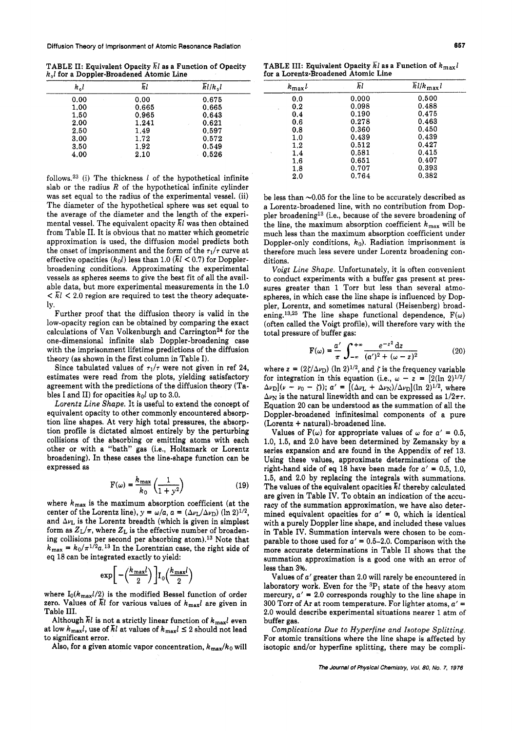TABLE **11:** Equivalent Opacity *El* as a Function of Opacity  $k<sub>0</sub>$ *l* for a Doppler-Broadened Atomic Line

| $k_0 l$ | Īτl   | $\overline{k}$ l/ $k_0$ l |
|---------|-------|---------------------------|
| 0.00    | 0.00  | 0.675                     |
| 1.00    | 0.665 | 0.665                     |
| 1.50    | 0.965 | 0.643                     |
| 2.00    | 1.241 | 0.621                     |
| 2.50    | 1.49  | 0.597                     |
| 3.00    | 1.72  | 0.572                     |
| 3.50    | 1.92  | 0.549                     |
| 4.00    | 2.10  | 0.526                     |

follows.23 (i) The thickness *1* of the hypothetical infinite slab or the radius *R* of the hypothetical infinite cylinder was set equal to the radius of the experimental vessel. (ii) The diameter of the hypothetical sphere was set equal to the average of the diameter and the length of the experimental vessel. The equivalent opacity *El* was then obtained from Table 11. It is obvious that no matter which geometric approximation is used, the diffusion model predicts both the onset of imprisonment and the form of the  $\tau_1/\tau$  curve at effective opacities  $(k_0 l)$  less than 1.0  $(\bar{kl} < 0.7)$  for Dopplerbroadening conditions. Approximating the experimental vessels as spheres seems to give the best fit of all the available data, but more experimental measurements in the **1.0**   $\leq \overline{k}$ l  $\leq$  2.0 region are required to test the theory adequately.

Further proof that the diffusion theory is valid in the low-opacity region can be obtained by comparing the exact calculations of Van Volkenburgh and Carrington<sup>24</sup> for the one-dimensional infinite slab Doppler-broadening case with the imprisonment lifetime predictions of the diffusion theory (as shown in the first column in Table I).

Since tabulated values of  $\tau_1/\tau$  were not given in ref 24, estimates were read from the plots, yielding satisfactory agreement with the predictions of the diffusion theory (Tables I and II) for opacities  $k_0 l$  up to 3.0.

*Lorentz Line Shape.* It is useful to extend the concept of equivalent opacity to other commonly encountered absorption line shapes. At very high total pressures, the absorption profile is dictated almost entirely by the perturbing collisions of the absorbing or emitting atoms with each other or with a "bath" gas (i.e., Holtsmark or Lorentz broadening). In these cases the line-shape function can be expressed as

$$
F(\omega) = \frac{k_{\text{max}}}{k_0} \left(\frac{1}{1+y^2}\right) \tag{19}
$$

where **kmax** is the maximum absorption coefficient (at the center of the Lorentz line),  $y = \omega/a$ ,  $a = (\Delta v_L / \Delta v_D)$  (ln 2)<sup>1/2</sup>, and  $\Delta \nu$ <sub>L</sub> is the Lorentz breadth (which is given in simplest form as  $Z_L/\pi$ , where  $Z_L$  is the effective number of broadening collisions per second per absorbing atom).13 Note that  $k_{\text{max}} = k_0 / \pi^{1/2} a$ .<sup>13</sup> In the Lorentzian case, the right side of eq *18* can be integrated exactly to yield:

$$
\exp\biggl[-\Bigl(\frac{k_{\max}l}{2}\Bigr)\,\biggr]\mathrm{I}_0\Bigl(\frac{k_{\max}l}{2}\Bigr)
$$

where  $I_0(k_{\text{max}}l/2)$  is the modified Bessel function of order zero. Values of  $\bar{k}l$  for various values of  $k_{\text{max}}l$  are given in Table 111.

Although  $\bar{k}l$  is not a strictly linear function of  $k_{\text{max}}l$  even at low  $k_{\text{max}}l$ , use of  $\bar{k}l$  at values of  $k_{\text{max}}l \leq 2$  should not lead to significant error.

Also, for a given atomic vapor concentration,  $k_{\text{max}}/k_0$  will

**TABLE III: Equivalent Opacity**  $\overline{k}$ *l* **as a Function of**  $k_{\text{max}}$ *l* for a Lorentz-Broadened Atomic Line

| $k_{\text{max}}l$ | Īεl   | $\overline{k}$ l/k <sub>max</sub> l |
|-------------------|-------|-------------------------------------|
| 0.0               | 0.000 | 0.500                               |
| 0.2               | 0.098 | 0.488                               |
| 0.4               | 0.190 | 0.475                               |
| 0.6               | 0.278 | 0.463                               |
| 0.8               | 0.360 | 0.450                               |
| 1.0               | 0.439 | 0.439                               |
| $1.2\,$           | 0.512 | 0.427                               |
| 1.4               | 0.581 | 0.415                               |
| 1.6               | 0.651 | 0.407                               |
| 1,8               | 0.707 | 0.393                               |
| 2,0               | 0.764 | 0.382                               |
|                   |       |                                     |

be less than  $\sim$ 0.05 for the line to be accurately described as a Lorentz-broadened line, with no contribution from Doppler broadening13 (i.e., because of the severe broadening of the line, the maximum absorption coefficient  $k_{\text{max}}$  will be much less than the maximum absorption coefficient under Doppler-only conditions, *ko).* Radiation imprisonment is therefore much less severe under Lorentz broadening conditions.

*Voigt Line Shape.* Unfortunately, it is often convenient to conduct experiments with a buffer gas present at pressures greater than *1* Torr but less than several atmospheres, in which case the line shape is influenced by Doppler, Lorentz, and sometimes natural (Heisenberg) broadening.<sup>13,25</sup> The line shape functional dependence,  $F(\omega)$ (often called the Voigt profile), will therefore vary with the total pressure of buffer gas:

$$
F(\omega) = \frac{a'}{\pi} \int_{-\infty}^{+\infty} \frac{e^{-z^2} dz}{(a')^2 + (\omega - z)^2}
$$
 (20)

where  $z = (2\zeta/\Delta\nu_D)$  (ln 2)<sup>1/2</sup>, and  $\zeta$  is the frequency variable for integration in this equation (i.e.,  $\omega - z = \frac{2(\ln 2)^{1/2}}{2}$  $(\Delta \nu_{\rm D})(\nu - \nu_0 - \zeta)$ ;  $a' = [(\Delta \nu_{\rm L} + \Delta \nu_{\rm N})/\Delta \nu_{\rm D}] (\ln 2)^{1/2}$ , where  $\Delta \nu_N$  is the natural linewidth and can be expressed as  $1/2\pi\tau$ . Equation **20** can be understood as the summation of all the Doppler-broadened infinitesimal components of a pure (Lorentz + natural)-broadened line.

Values of  $F(\omega)$  for appropriate values of  $\omega$  for  $\alpha' = 0.5$ , **1.0, 1.5,** and **2.0** have been determined by Zemansky by a series expansion and are found in the Appendix of ref 13. Using these values, approximate determinations of the right-hand side of eq 18 have been made for  $a' = 0.5, 1.0$ , **1.5,** and **2.0** by replacing the integrals with summations. The values of the equivalent opacities *El* thereby calculated are given in Table IV. To obtain an indication of the accuracy of the summation approximation, we have also determined equivalent opacities for  $a' = 0$ , which is identical with a purely Doppler line shape, and included these values in Table IV. Summation intervals were chosen to be comparable to those used for  $a' = 0.5-2.0$ . Comparison with the more accurate determinations in Table I1 shows that the summation approximation is a good one with an error of less than **3%.** 

Values of *a'* greater than 2.0 will rarely be encountered in laboratory work. Even for the  ${}^{3}P_{1}$  state of the heavy atom mercury,  $a' = 2.0$  corresponds roughly to the line shape in **300** Torr of Ar at room temperature. For lighter atoms, *a'* = **2.0** would describe experimental situations nearer *1* atm of buffer gas.

*Complications Due to Hyperfine and Isotope Splitting.*  For atomic transitions where the line shape is affected by isotopic and/or hyperfine splitting, there may be compli-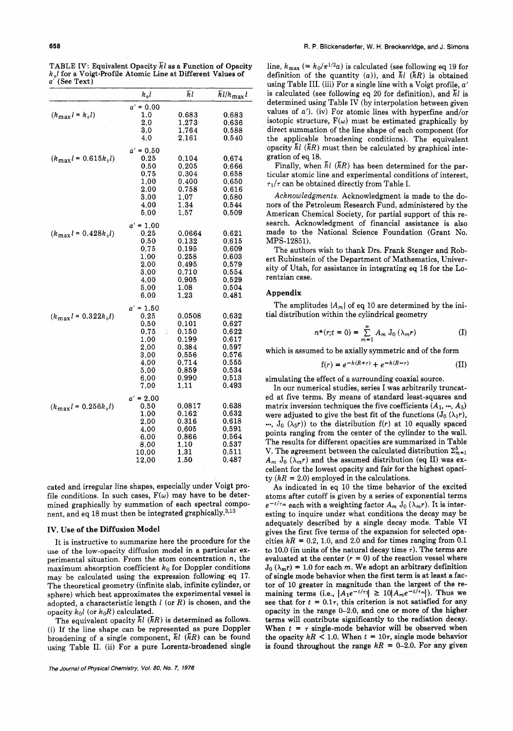|                                    | $k_0 l$     | Īι     | $\overline{k}$ l/k <sub>max</sub> l |
|------------------------------------|-------------|--------|-------------------------------------|
|                                    | $a' = 0.00$ |        |                                     |
| $(k_{\rm max} \, l = k_{\rm o} l)$ | 1.0         | 0.683  | 0.683                               |
|                                    | 2.0         | 1.273  | 0.636                               |
|                                    | 3.0         | 1.764  | 0.588                               |
|                                    | 4,0         | 2.161  | 0.540                               |
|                                    | $a' = 0.50$ |        |                                     |
| $(k_{\text{max}}l = 0.615k_0l)$    | 0.25        | 0.104  | 0.674                               |
|                                    | 0.50        | 0.205  | 0.666                               |
|                                    | 0.75        | 0.304  | 0.658                               |
|                                    | 1,00        | 0.400  | 0.650                               |
|                                    | 2.00        | 0.758  | 0.616                               |
|                                    | 3,00        | 1.07   | 0.580                               |
|                                    | 4.00        | 1.34   | 0.544                               |
|                                    | 5.00        | 1.57   | 0.509                               |
|                                    | $a' = 1.00$ |        |                                     |
| $(k_{\text{max}}l = 0.428k_0l)$    | 0.25        | 0.0664 | 0.621                               |
|                                    | 0.50        | 0.132  | 0.615                               |
|                                    | 0.75        | 0.195  | 0.609                               |
|                                    | 1,00        | 0.258  | 0.603                               |
|                                    | 2.00        | 0.495  | 0.579                               |
|                                    | 3.00        | 0.710  | 0.554                               |
|                                    | 4,00        | 0.905  | 0.529                               |
|                                    | 5.00        | 1.08   | 0.504                               |
|                                    | 6.00        | 1.23   | 0.481                               |
|                                    | $a' = 1.50$ |        |                                     |
| $(k_{\text{max}}l = 0.322k_0l)$    | 0.25        | 0.0508 | 0.632                               |
|                                    | 0,50        | 0.101  | 0.627                               |
|                                    | 0.75<br>ř,  | 0.150  | 0.622                               |
|                                    | 1.00        | 0.199  | 0.617                               |
|                                    | 2.00        | 0.384  | 0.597                               |
|                                    | 3.00        | 0.556  | 0.576                               |
|                                    | 4.00        | 0.714  | 0.555                               |
|                                    | 5.00        | 0.859  | 0.534                               |
|                                    | 6.00        | 0.990  | 0.513                               |
|                                    | 7.00        | 1.11   | 0.493                               |
|                                    | $a' = 2.00$ |        |                                     |
| $(k_{\text{max}}l = 0.256k_0l)$    | 0.50        | 0.0817 | 0.638                               |
|                                    | 1.00        | 0.162  | 0.632                               |
|                                    | 2.00        | 0.316  | 0.618                               |
|                                    | 4.00        | 0.605  | 0.591                               |
|                                    | 6.00        | 0.866  | 0.564                               |
|                                    | 8.00        | 1,10   | 0.537                               |
|                                    | 10.00       | 1,31   | 0.511                               |
|                                    | 12.00       | 1.50   | 0,487                               |

TABLE IV: Equivalent Opacity  $\overline{k}$ l as a Function of Opacity **k,l** for a Voigt-Profile Atomic Line at Different Values of *a'* (See Text)

cated and irregular line shapes, especially under Voigt profile conditions. In such cases,  $F(\omega)$  may have to be determined graphically by summation of each spectral component, and eq 18 must then be integrated graphically. $^{3,13}$ 

#### **IV. Use of the Diffusion Model**

It is instructive to summarize here the procedure for the **use** of the low-opacity diffusion model in a particular experimental situation. From the atom concentration *n,* the maximum absorption coefficient *ko* for Doppler conditions may be calculated using the expression following eq 17. The theoretical geometry (infinite slab, infinite cylinder, or sphere) which best approximates the experimental vessel is adopted, a characteristic length **1** (or *R)* is chosen, and the opacity  $k_0 l$  (or  $k_0 R$ ) calculated.

The equivalent opacity *E1 (KR)* is determined as follows. (i) If the line shape can be represented as pure Doppler broadening of a single component, *E1 (ER)* can be found using Table 11. (ii) For a pure Lorentz-broadened single line,  $k_{\text{max}}$  (=  $k_0/\pi^{1/2}a$ ) is calculated (see following eq 19 for definition of the quantity *(a)),* and *x1 (RR)* is obtained using Table 111. (iii) For a single line with a Voigt profile, *a'*  is calculated (see following eq 20 for definition), and *El* is determined using Table IV (by interpolation between given values of *a'*). (iv) For atomic lines with hyperfine and/or isotopic structure,  $F(\omega)$  must be estimated graphically by direct summation of the line shape of each component (for the applicable broadening conditions). The equivalent opacity  $\bar{k}l$  ( $\bar{k}R$ ) must then be calculated by graphical integration of eq 18.

Finally, when  $\bar{kl}$  ( $\bar{k}R$ ) has been determined for the particular atomic line and experimental conditions of interest,  $\tau_1/\tau$  can be obtained directly from Table I.

*Acknowledgments.* Acknowledgment is made to the donors of the Petroleum Research Fund, administered by the American Chemical Society, for partial support of this research. Acknowledgment of financial assistance is also made to the National Science Foundation (Grant No. MPS-12851).

The authors wish to thank Drs. Frank Stenger and Robert Rubinstein of the Department of Mathematics, University of Utah, for assistance in integrating eq 18 for the Lorentzian case.

#### **Appendix**

tial distribution within the cylindrical geometry The amplitudes  ${A_m}$  of eq 10 are determined by the ini-

$$
n^*(r;t = 0) = \sum_{m=1}^{\infty} A_m J_0(\lambda_m r)
$$
 (I)

which is assumed to be axially symmetric and of the form

$$
f(r) = e^{-k(R+r)} + e^{-k(R-r)}
$$
 (II)

simulating the effect of a surrounding coaxial source.

In our numerical studies, series I was arbitrarily truncated at five terms. By means of standard least-squares and matrix inversion techniques the five coefficients  $(A_1, ..., A_5)$ were adjusted to give the best fit of the functions  $(J_0 (\lambda_1 r))$ ,  $\ldots$ ,  $J_0 (\lambda_5 r)$  to the distribution  $f(r)$  at 10 equally spaced points ranging from the center of the cylinder to the wall. The results for different opacities are summarized in Table V. The agreement between the calculated distribution  $\Sigma_{m=1}^5$  $A_m$  J<sub>0</sub>  $(\lambda_m r)$  and the assumed distribution (eq II) was excellent for the lowest opacity and fair for the highest opacity  $(kR = 2.0)$  employed in the calculations.

**As** indicated in eq 10 the time behavior of the excited atoms after cutoff is given by a series of exponential terms  $e^{-t/\tau_m}$  each with a weighting factor  $A_m$   $J_0$  ( $\lambda_m r$ ). It is interesting to inquire under what conditions the decay may be adequately described by a single decay mode. Table VI gives the first five terms of the expansion for selected opacities  $k = 0.2$ , 1.0, and 2.0 and for times ranging from 0.1 to 10.0 (in units of the natural decay time  $\tau$ ). The terms are evaluated at the center  $(r = 0)$  of the reaction vessel where  $J_0(\lambda_m r) = 1.0$  for each *m*. We adopt an arbitrary definition **of** single mode behavior when the first term is at least a factor of 10 greater in magnitude than the largest of the remaining terms (i.e.,  $|A_1e^{-t/\tau_1}| \geq 10|A_m e^{-t/\tau_m}|$ ). Thus we see that for  $t = 0.1\tau$ , this criterion is not satisfied for any opacity in the range **0-2.0,** and one or more of the higher terms will contribute significantly to the radiation decay. When  $t = \tau$  single-mode behavior will be observed when the opacity  $kR < 1.0$ . When  $t = 10\tau$ , single mode behavior is found throughout the range  $k = 0$ -2.0. For any given